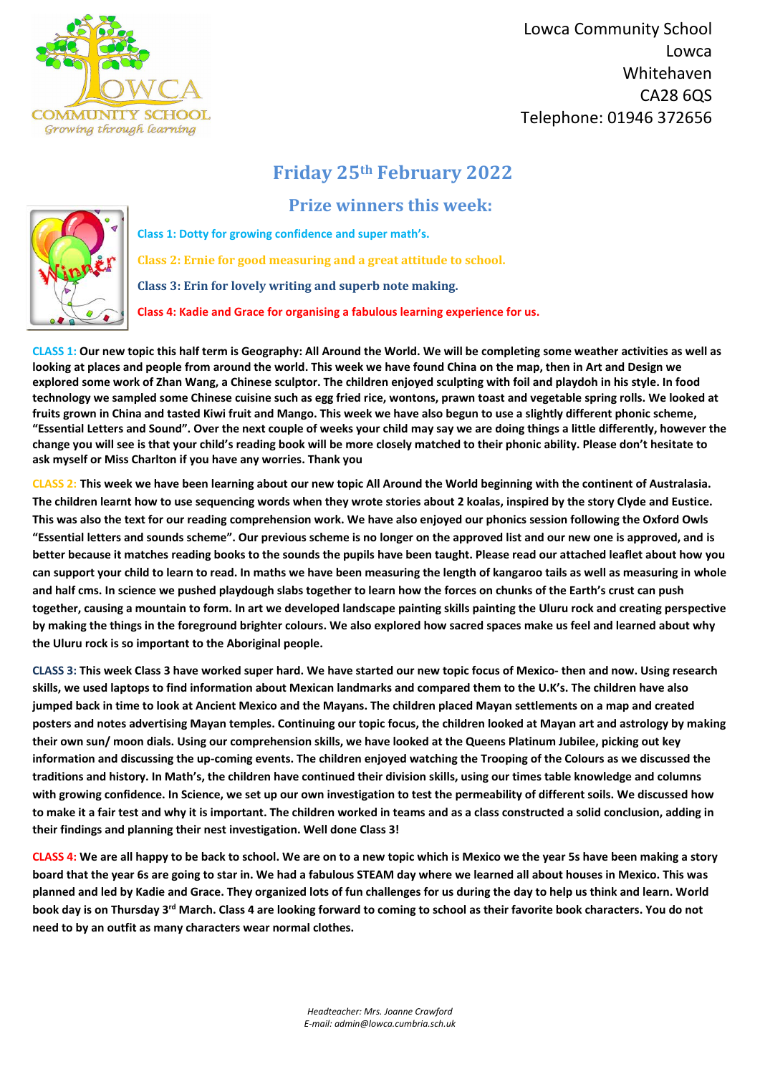

 Lowca Community School Lowca Whitehaven CA28 6QS Telephone: 01946 372656

*Headteacher: Mrs. Joanne Crawford E-mail: admin@lowca.cumbria.sch.uk*

## **Friday 25th February 2022**

## **Prize winners this week:**



**Class 1: Dotty for growing confidence and super math's.**

**Class 2: Ernie for good measuring and a great attitude to school.**

**Class 3: Erin for lovely writing and superb note making.**

**Class 4: Kadie and Grace for organising a fabulous learning experience for us.**

**CLASS 1: Our new topic this half term is Geography: All Around the World. We will be completing some weather activities as well as looking at places and people from around the world. This week we have found China on the map, then in Art and Design we explored some work of Zhan Wang, a Chinese sculptor. The children enjoyed sculpting with foil and playdoh in his style. In food technology we sampled some Chinese cuisine such as egg fried rice, wontons, prawn toast and vegetable spring rolls. We looked at fruits grown in China and tasted Kiwi fruit and Mango. This week we have also begun to use a slightly different phonic scheme, "Essential Letters and Sound". Over the next couple of weeks your child may say we are doing things a little differently, however the change you will see is that your child's reading book will be more closely matched to their phonic ability. Please don't hesitate to ask myself or Miss Charlton if you have any worries. Thank you**

**CLASS 2: This week we have been learning about our new topic All Around the World beginning with the continent of Australasia. The children learnt how to use sequencing words when they wrote stories about 2 koalas, inspired by the story Clyde and Eustice. This was also the text for our reading comprehension work. We have also enjoyed our phonics session following the Oxford Owls "Essential letters and sounds scheme". Our previous scheme is no longer on the approved list and our new one is approved, and is better because it matches reading books to the sounds the pupils have been taught. Please read our attached leaflet about how you can support your child to learn to read. In maths we have been measuring the length of kangaroo tails as well as measuring in whole and half cms. In science we pushed playdough slabs together to learn how the forces on chunks of the Earth's crust can push together, causing a mountain to form. In art we developed landscape painting skills painting the Uluru rock and creating perspective by making the things in the foreground brighter colours. We also explored how sacred spaces make us feel and learned about why the Uluru rock is so important to the Aboriginal people.**

**CLASS 3: This week Class 3 have worked super hard. We have started our new topic focus of Mexico- then and now. Using research skills, we used laptops to find information about Mexican landmarks and compared them to the U.K's. The children have also jumped back in time to look at Ancient Mexico and the Mayans. The children placed Mayan settlements on a map and created posters and notes advertising Mayan temples. Continuing our topic focus, the children looked at Mayan art and astrology by making their own sun/ moon dials. Using our comprehension skills, we have looked at the Queens Platinum Jubilee, picking out key information and discussing the up-coming events. The children enjoyed watching the Trooping of the Colours as we discussed the traditions and history. In Math's, the children have continued their division skills, using our times table knowledge and columns with growing confidence. In Science, we set up our own investigation to test the permeability of different soils. We discussed how** 

**to make it a fair test and why it is important. The children worked in teams and as a class constructed a solid conclusion, adding in their findings and planning their nest investigation. Well done Class 3!**

**CLASS 4: We are all happy to be back to school. We are on to a new topic which is Mexico we the year 5s have been making a story board that the year 6s are going to star in. We had a fabulous STEAM day where we learned all about houses in Mexico. This was planned and led by Kadie and Grace. They organized lots of fun challenges for us during the day to help us think and learn. World book day is on Thursday 3rd March. Class 4 are looking forward to coming to school as their favorite book characters. You do not need to by an outfit as many characters wear normal clothes.**